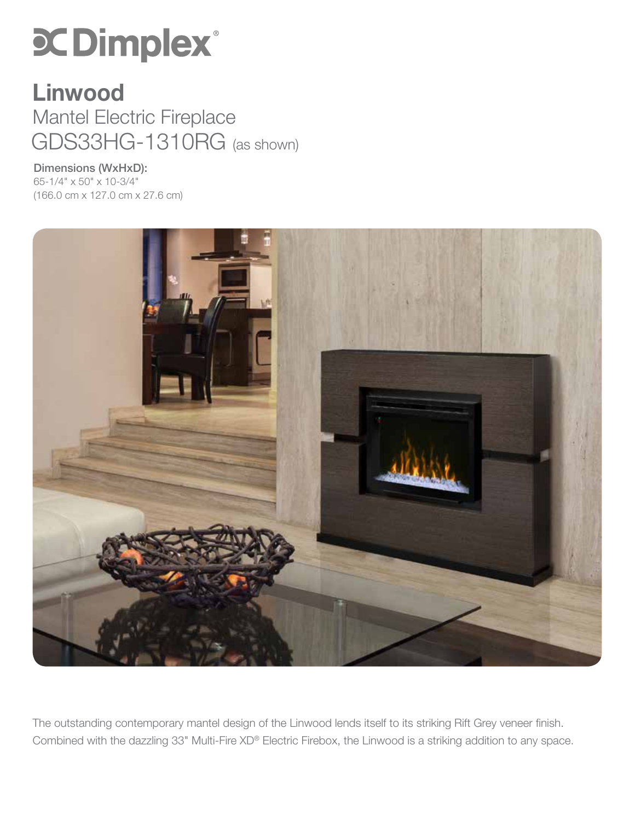# **SC Dimplex®**

### GDS33HG-1310RG (as shown) Linwood Mantel Electric Fireplace

Dimensions (WxHxD): 65-1/4" x 50" x 10-3/4" (166.0 cm x 127.0 cm x 27.6 cm)



The outstanding contemporary mantel design of the Linwood lends itself to its striking Rift Grey veneer finish. Combined with the dazzling 33" Multi-Fire XD® Electric Firebox, the Linwood is a striking addition to any space.